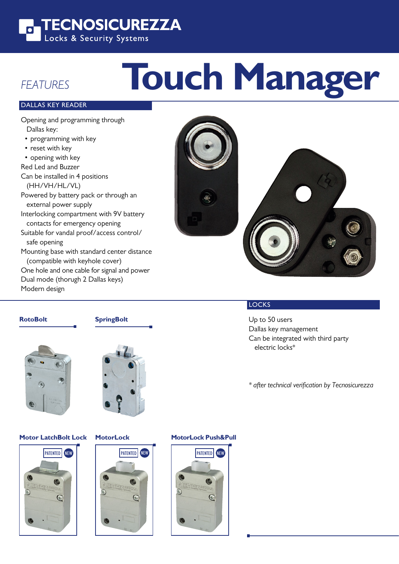

# **Touch Manager**

### DALLAS KEY READER

FEATURES

Opening and programming through Dallas key: • programming with key • reset with key • opening with key Red Led and Buzzer Can be installed in 4 positions (HH/VH/HL/VL) Powered by battery pack or through an external power supply Interlocking compartment with 9V battery contacts for emergency opening Suitable for vandal proof/access control/ safe opening Mounting base with standard center distance (compatible with keyhole cover) One hole and one cable for signal and power Dual mode (thorugh 2 Dallas keys) Modern design



#### **RotoBolt**

**SpringBolt**





#### **Motor LatchBolt Lock**





#### **MotorLock MotorLock Push&Pull**



#### **LOCKS**

Up to 50 users Dallas key management Can be integrated with third party electric locks\*

\* after technical verification by Tecnosicurezza